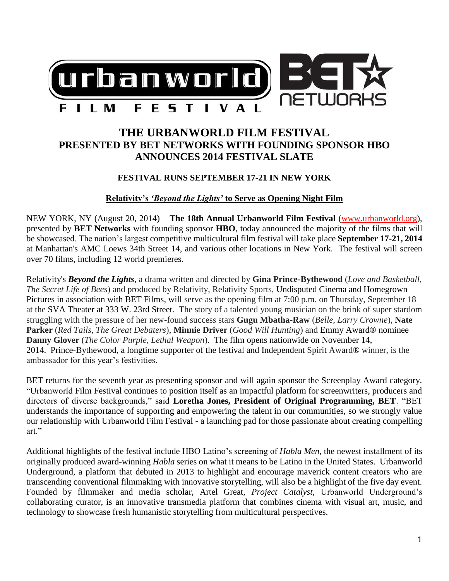

# **THE URBANWORLD FILM FESTIVAL PRESENTED BY BET NETWORKS WITH FOUNDING SPONSOR HBO ANNOUNCES 2014 FESTIVAL SLATE**

### **FESTIVAL RUNS SEPTEMBER 17-21 IN NEW YORK**

#### **Relativity's** *'Beyond the Lights'* **to Serve as Opening Night Film**

NEW YORK, NY (August 20, 2014) – **The 18th Annual Urbanworld Film Festival** [\(www.urbanworld.org\)](http://www.urbanworld.org/), presented by **BET Networks** with founding sponsor **HBO**, today announced the majority of the films that will be showcased. The nation's largest competitive multicultural film festival will take place **September 17-21, 2014** at Manhattan's AMC Loews 34th Street 14, and various other locations in New York. The festival will screen over 70 films, including 12 world premieres.

Relativity's *Beyond the Lights*, a drama written and directed by **Gina Prince-Bythewood** (*Love and Basketball, The Secret Life of Bees*) and produced by Relativity, Relativity Sports, Undisputed Cinema and Homegrown Pictures in association with BET Films, will serve as the opening film at 7:00 p.m. on Thursday, September 18 at the SVA Theater at 333 W. 23rd Street. The story of a talented young musician on the brink of super stardom struggling with the pressure of her new-found success stars **Gugu Mbatha-Raw** (*Belle, Larry Crowne*), **Nate Parker** (*Red Tails, The Great Debaters*), **Minnie Driver** (*Good Will Hunting*) and Emmy Award® nominee **Danny Glover** (*The Color Purple, Lethal Weapon*). The film opens nationwide on November 14, 2014. Prince-Bythewood, a longtime supporter of the festival and Independent Spirit Award® winner, is the ambassador for this year's festivities.

BET returns for the seventh year as presenting sponsor and will again sponsor the Screenplay Award category. "Urbanworld Film Festival continues to position itself as an impactful platform for screenwriters, producers and directors of diverse backgrounds," said **Loretha Jones, President of Original Programming, BET**. "BET understands the importance of supporting and empowering the talent in our communities, so we strongly value our relationship with Urbanworld Film Festival - a launching pad for those passionate about creating compelling art."

Additional highlights of the festival include HBO Latino's screening of *Habla Men*, the newest installment of its originally produced award-winning *Habla* series on what it means to be Latino in the United States. Urbanworld Underground, a platform that debuted in 2013 to highlight and encourage maverick content creators who are transcending conventional filmmaking with innovative storytelling, will also be a highlight of the five day event. Founded by filmmaker and media scholar, Artel Great, *Project Catalyst,* Urbanworld Underground's collaborating curator, is an innovative transmedia platform that combines cinema with visual art, music, and technology to showcase fresh humanistic storytelling from multicultural perspectives.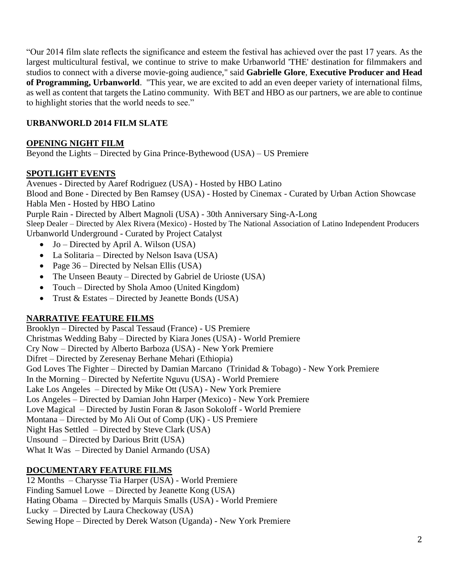"Our 2014 film slate reflects the significance and esteem the festival has achieved over the past 17 years. As the largest multicultural festival, we continue to strive to make Urbanworld 'THE' destination for filmmakers and studios to connect with a diverse movie-going audience," said **Gabrielle Glore**, **Executive Producer and Head of Programming, Urbanworld**. "This year, we are excited to add an even deeper variety of international films, as well as content that targets the Latino community. With BET and HBO as our partners, we are able to continue to highlight stories that the world needs to see."

# **URBANWORLD 2014 FILM SLATE**

#### **OPENING NIGHT FILM**

Beyond the Lights – Directed by Gina Prince-Bythewood (USA) – US Premiere

#### **SPOTLIGHT EVENTS**

Avenues - Directed by Aaref Rodriguez (USA) - Hosted by HBO Latino

Blood and Bone - Directed by Ben Ramsey (USA) - Hosted by Cinemax - Curated by Urban Action Showcase Habla Men - Hosted by HBO Latino

Purple Rain - Directed by Albert Magnoli (USA) - 30th Anniversary Sing-A-Long

Sleep Dealer – Directed by Alex Rivera (Mexico) - Hosted by The National Association of Latino Independent Producers Urbanworld Underground - Curated by Project Catalyst

- $\bullet$  Jo Directed by April A. Wilson (USA)
- La Solitaria Directed by Nelson Isava (USA)
- Page 36 Directed by Nelsan Ellis (USA)
- The Unseen Beauty Directed by Gabriel de Urioste (USA)
- Touch Directed by Shola Amoo (United Kingdom)
- Trust  $&Estates Directed by Jeanette Bonds (USA)$

### **NARRATIVE FEATURE FILMS**

Brooklyn – Directed by Pascal Tessaud (France) - US Premiere Christmas Wedding Baby – Directed by Kiara Jones (USA) - World Premiere Cry Now – Directed by Alberto Barboza (USA) - New York Premiere Difret – Directed by Zeresenay Berhane Mehari (Ethiopia) God Loves The Fighter – Directed by Damian Marcano (Trinidad & Tobago) - New York Premiere In the Morning – Directed by Nefertite Nguvu (USA) - World Premiere Lake Los Angeles – Directed by Mike Ott (USA) - New York Premiere Los Angeles – Directed by Damian John Harper (Mexico) - New York Premiere Love Magical – Directed by Justin Foran & Jason Sokoloff - World Premiere Montana – Directed by Mo Ali Out of Comp (UK) - US Premiere Night Has Settled – Directed by Steve Clark (USA) Unsound – Directed by Darious Britt (USA) What It Was – Directed by Daniel Armando (USA)

### **DOCUMENTARY FEATURE FILMS**

12 Months – Charysse Tia Harper (USA) - World Premiere Finding Samuel Lowe – Directed by Jeanette Kong (USA) Hating Obama – Directed by Marquis Smalls (USA) - World Premiere Lucky – Directed by Laura Checkoway (USA) Sewing Hope – Directed by Derek Watson (Uganda) - New York Premiere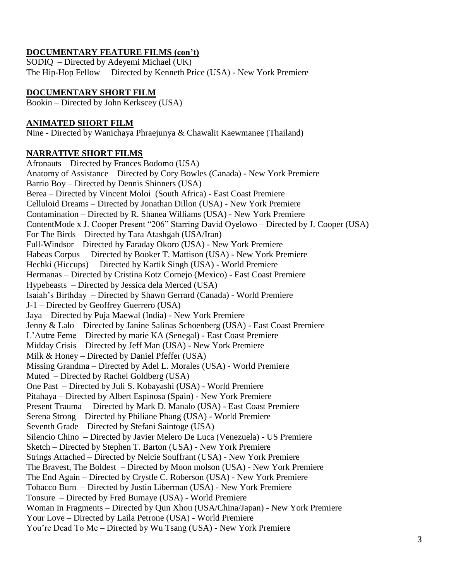## **DOCUMENTARY FEATURE FILMS (con't)**

SODIQ – Directed by Adeyemi Michael (UK) The Hip-Hop Fellow – Directed by Kenneth Price (USA) - New York Premiere

## **DOCUMENTARY SHORT FILM**

Bookin – Directed by John Kerkscey (USA)

### **ANIMATED SHORT FILM**

Nine - Directed by Wanichaya Phraejunya & Chawalit Kaewmanee (Thailand)

#### **NARRATIVE SHORT FILMS**

Afronauts – Directed by Frances Bodomo (USA) Anatomy of Assistance – Directed by Cory Bowles (Canada) - New York Premiere Barrio Boy – Directed by Dennis Shinners (USA) Berea – Directed by Vincent Moloi (South Africa) - East Coast Premiere Celluloid Dreams – Directed by Jonathan Dillon (USA) - New York Premiere Contamination – Directed by R. Shanea Williams (USA) - New York Premiere ContentMode x J. Cooper Present "206" Starring David Oyelowo – Directed by J. Cooper (USA) For The Birds – Directed by Tara Atashgah (USA/Iran) Full-Windsor – Directed by Faraday Okoro (USA) - New York Premiere Habeas Corpus – Directed by Booker T. Mattison (USA) - New York Premiere Hechki (Hiccups) – Directed by Kartik Singh (USA) - World Premiere Hermanas – Directed by Cristina Kotz Cornejo (Mexico) - East Coast Premiere Hypebeasts – Directed by Jessica dela Merced (USA) Isaiah's Birthday – Directed by Shawn Gerrard (Canada) - World Premiere J-1 – Directed by Geoffrey Guerrero (USA) Jaya – Directed by Puja Maewal (India) - New York Premiere Jenny & Lalo – Directed by Janine Salinas Schoenberg (USA) - East Coast Premiere L'Autre Feme – Directed by marie KA (Senegal) - East Coast Premiere Midday Crisis – Directed by Jeff Man (USA) - New York Premiere Milk & Honey – Directed by Daniel Pfeffer (USA) Missing Grandma – Directed by Adel L. Morales (USA) - World Premiere Muted – Directed by Rachel Goldberg (USA) One Past – Directed by Juli S. Kobayashi (USA) - World Premiere Pitahaya – Directed by Albert Espinosa (Spain) - New York Premiere Present Trauma – Directed by Mark D. Manalo (USA) - East Coast Premiere Serena Strong – Directed by Philiane Phang (USA) - World Premiere Seventh Grade – Directed by Stefani Saintoge (USA) Silencio Chino – Directed by Javier Melero De Luca (Venezuela) - US Premiere Sketch – Directed by Stephen T. Barton (USA) - New York Premiere Strings Attached – Directed by Nelcie Souffrant (USA) - New York Premiere The Bravest, The Boldest – Directed by Moon molson (USA) - New York Premiere The End Again – Directed by Crystle C. Roberson (USA) - New York Premiere Tobacco Burn – Directed by Justin Liberman (USA) - New York Premiere Tonsure – Directed by Fred Bumaye (USA) - World Premiere Woman In Fragments – Directed by Qun Xhou (USA/China/Japan) - New York Premiere Your Love – Directed by Laila Petrone (USA) - World Premiere You're Dead To Me – Directed by Wu Tsang (USA) - New York Premiere